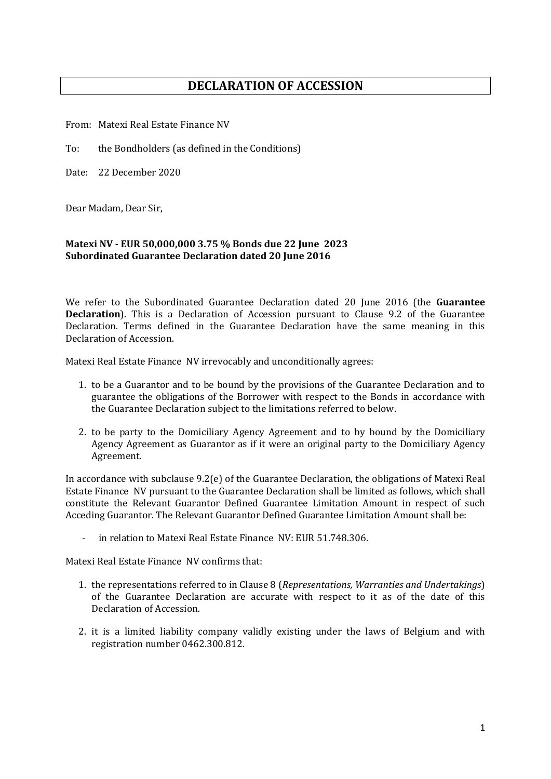## **DECLARATION OF ACCESSION**

From: Matexi Real Estate Finance NV

To: the Bondholders (as defined in the Conditions)

Date: 22 December 2020

Dear Madam, Dear Sir,

## **Matexi NV - EUR 50,000,000 3.75 % Bonds due 22 June 2023 Subordinated Guarantee Declaration dated 20 June 2016**

We refer to the Subordinated Guarantee Declaration dated 20 June 2016 (the **Guarantee Declaration**). This is a Declaration of Accession pursuant to Clause 9.2 of the Guarantee Declaration. Terms defined in the Guarantee Declaration have the same meaning in this Declaration of Accession.

Matexi Real Estate Finance NV irrevocably and unconditionally agrees:

- 1. to be a Guarantor and to be bound by the provisions of the Guarantee Declaration and to guarantee the obligations of the Borrower with respect to the Bonds in accordance with the Guarantee Declaration subject to the limitations referred to below.
- 2. to be party to the Domiciliary Agency Agreement and to by bound by the Domiciliary Agency Agreement as Guarantor as if it were an original party to the Domiciliary Agency Agreement.

In accordance with subclause 9.2(e) of the Guarantee Declaration, the obligations of Matexi Real Estate Finance NV pursuant to the Guarantee Declaration shall be limited as follows, which shall constitute the Relevant Guarantor Defined Guarantee Limitation Amount in respect of such Acceding Guarantor. The Relevant Guarantor Defined Guarantee Limitation Amount shall be:

in relation to Matexi Real Estate Finance NV: EUR 51.748.306.

Matexi Real Estate Finance NV confirms that:

- 1. the representations referred to in Clause 8 (*Representations, Warranties and Undertakings*) of the Guarantee Declaration are accurate with respect to it as of the date of this Declaration of Accession.
- 2. it is a limited liability company validly existing under the laws of Belgium and with registration number 0462.300.812.